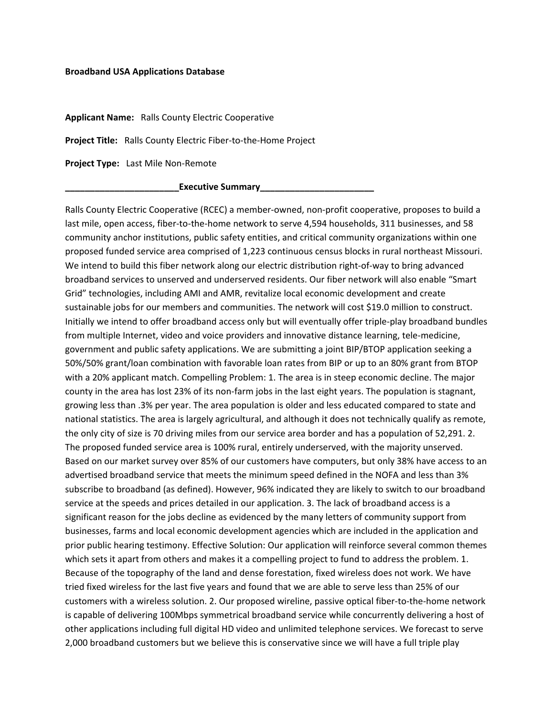## **Broadband USA Applications Database**

**Applicant Name:** Ralls County Electric Cooperative

**Project Title:** Ralls County Electric Fiber-to-the-Home Project

**Project Type:** Last Mile Non-Remote

**\_\_\_\_\_\_\_\_\_\_\_\_\_\_\_\_\_\_\_\_\_\_\_Executive Summary\_\_\_\_\_\_\_\_\_\_\_\_\_\_\_\_\_\_\_\_\_\_\_** 

Ralls County Electric Cooperative (RCEC) a member-owned, non-profit cooperative, proposes to build a last mile, open access, fiber-to-the-home network to serve 4,594 households, 311 businesses, and 58 community anchor institutions, public safety entities, and critical community organizations within one proposed funded service area comprised of 1,223 continuous census blocks in rural northeast Missouri. We intend to build this fiber network along our electric distribution right-of-way to bring advanced broadband services to unserved and underserved residents. Our fiber network will also enable "Smart Grid" technologies, including AMI and AMR, revitalize local economic development and create sustainable jobs for our members and communities. The network will cost \$19.0 million to construct. Initially we intend to offer broadband access only but will eventually offer triple-play broadband bundles from multiple Internet, video and voice providers and innovative distance learning, tele-medicine, government and public safety applications. We are submitting a joint BIP/BTOP application seeking a 50%/50% grant/loan combination with favorable loan rates from BIP or up to an 80% grant from BTOP with a 20% applicant match. Compelling Problem: 1. The area is in steep economic decline. The major county in the area has lost 23% of its non-farm jobs in the last eight years. The population is stagnant, growing less than .3% per year. The area population is older and less educated compared to state and national statistics. The area is largely agricultural, and although it does not technically qualify as remote, the only city of size is 70 driving miles from our service area border and has a population of 52,291. 2. The proposed funded service area is 100% rural, entirely underserved, with the majority unserved. Based on our market survey over 85% of our customers have computers, but only 38% have access to an advertised broadband service that meets the minimum speed defined in the NOFA and less than 3% subscribe to broadband (as defined). However, 96% indicated they are likely to switch to our broadband service at the speeds and prices detailed in our application. 3. The lack of broadband access is a significant reason for the jobs decline as evidenced by the many letters of community support from businesses, farms and local economic development agencies which are included in the application and prior public hearing testimony. Effective Solution: Our application will reinforce several common themes which sets it apart from others and makes it a compelling project to fund to address the problem. 1. Because of the topography of the land and dense forestation, fixed wireless does not work. We have tried fixed wireless for the last five years and found that we are able to serve less than 25% of our customers with a wireless solution. 2. Our proposed wireline, passive optical fiber-to-the-home network is capable of delivering 100Mbps symmetrical broadband service while concurrently delivering a host of other applications including full digital HD video and unlimited telephone services. We forecast to serve 2,000 broadband customers but we believe this is conservative since we will have a full triple play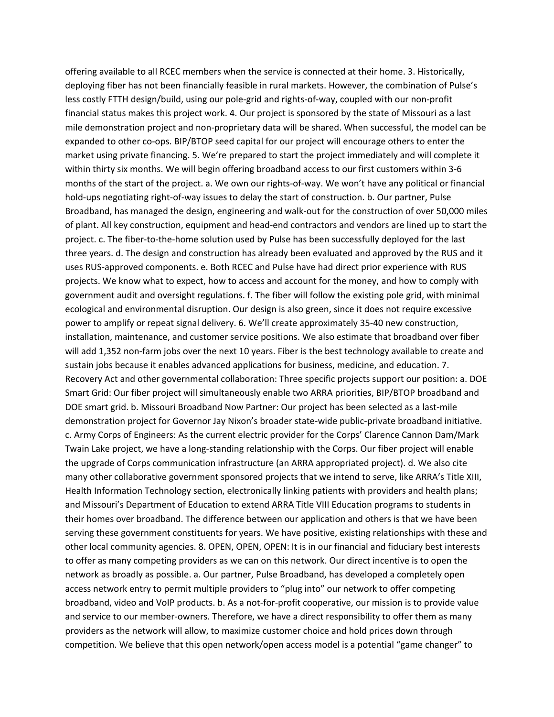offering available to all RCEC members when the service is connected at their home. 3. Historically, deploying fiber has not been financially feasible in rural markets. However, the combination of Pulse's less costly FTTH design/build, using our pole-grid and rights-of-way, coupled with our non-profit financial status makes this project work. 4. Our project is sponsored by the state of Missouri as a last mile demonstration project and non-proprietary data will be shared. When successful, the model can be expanded to other co-ops. BIP/BTOP seed capital for our project will encourage others to enter the market using private financing. 5. We're prepared to start the project immediately and will complete it within thirty six months. We will begin offering broadband access to our first customers within 3-6 months of the start of the project. a. We own our rights-of-way. We won't have any political or financial hold-ups negotiating right-of-way issues to delay the start of construction. b. Our partner, Pulse Broadband, has managed the design, engineering and walk-out for the construction of over 50,000 miles of plant. All key construction, equipment and head-end contractors and vendors are lined up to start the project. c. The fiber-to-the-home solution used by Pulse has been successfully deployed for the last three years. d. The design and construction has already been evaluated and approved by the RUS and it uses RUS-approved components. e. Both RCEC and Pulse have had direct prior experience with RUS projects. We know what to expect, how to access and account for the money, and how to comply with government audit and oversight regulations. f. The fiber will follow the existing pole grid, with minimal ecological and environmental disruption. Our design is also green, since it does not require excessive power to amplify or repeat signal delivery. 6. We'll create approximately 35-40 new construction, installation, maintenance, and customer service positions. We also estimate that broadband over fiber will add 1,352 non-farm jobs over the next 10 years. Fiber is the best technology available to create and sustain jobs because it enables advanced applications for business, medicine, and education. 7. Recovery Act and other governmental collaboration: Three specific projects support our position: a. DOE Smart Grid: Our fiber project will simultaneously enable two ARRA priorities, BIP/BTOP broadband and DOE smart grid. b. Missouri Broadband Now Partner: Our project has been selected as a last-mile demonstration project for Governor Jay Nixon's broader state-wide public-private broadband initiative. c. Army Corps of Engineers: As the current electric provider for the Corps' Clarence Cannon Dam/Mark Twain Lake project, we have a long-standing relationship with the Corps. Our fiber project will enable the upgrade of Corps communication infrastructure (an ARRA appropriated project). d. We also cite many other collaborative government sponsored projects that we intend to serve, like ARRA's Title XIII, Health Information Technology section, electronically linking patients with providers and health plans; and Missouri's Department of Education to extend ARRA Title VIII Education programs to students in their homes over broadband. The difference between our application and others is that we have been serving these government constituents for years. We have positive, existing relationships with these and other local community agencies. 8. OPEN, OPEN, OPEN: It is in our financial and fiduciary best interests to offer as many competing providers as we can on this network. Our direct incentive is to open the network as broadly as possible. a. Our partner, Pulse Broadband, has developed a completely open access network entry to permit multiple providers to "plug into" our network to offer competing broadband, video and VoIP products. b. As a not-for-profit cooperative, our mission is to provide value and service to our member-owners. Therefore, we have a direct responsibility to offer them as many providers as the network will allow, to maximize customer choice and hold prices down through competition. We believe that this open network/open access model is a potential "game changer" to